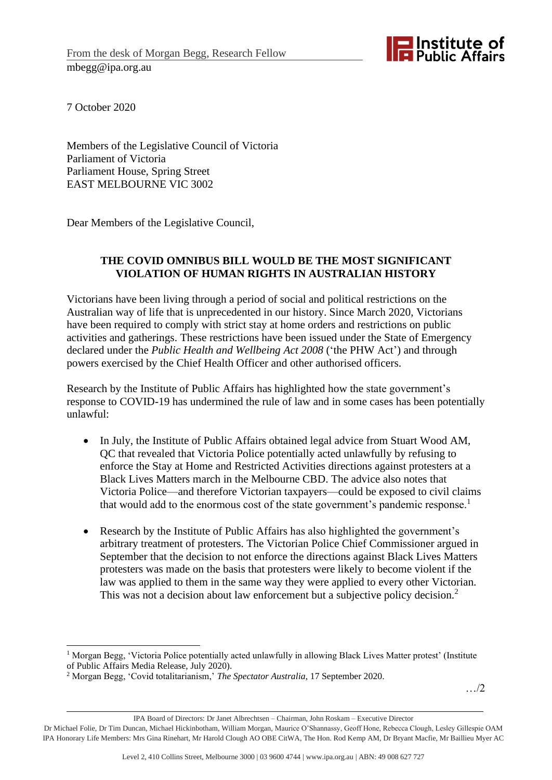

7 October 2020

Members of the Legislative Council of Victoria Parliament of Victoria Parliament House, Spring Street EAST MELBOURNE VIC 3002

Dear Members of the Legislative Council,

## **THE COVID OMNIBUS BILL WOULD BE THE MOST SIGNIFICANT VIOLATION OF HUMAN RIGHTS IN AUSTRALIAN HISTORY**

Victorians have been living through a period of social and political restrictions on the Australian way of life that is unprecedented in our history. Since March 2020, Victorians have been required to comply with strict stay at home orders and restrictions on public activities and gatherings. These restrictions have been issued under the State of Emergency declared under the *Public Health and Wellbeing Act 2008* ('the PHW Act') and through powers exercised by the Chief Health Officer and other authorised officers.

Research by the Institute of Public Affairs has highlighted how the state government's response to COVID-19 has undermined the rule of law and in some cases has been potentially unlawful:

- In July, the Institute of Public Affairs obtained legal advice from Stuart Wood AM, QC that revealed that Victoria Police potentially acted unlawfully by refusing to enforce the Stay at Home and Restricted Activities directions against protesters at a Black Lives Matters march in the Melbourne CBD. The advice also notes that Victoria Police—and therefore Victorian taxpayers—could be exposed to civil claims that would add to the enormous cost of the state government's pandemic response.<sup>1</sup>
- Research by the Institute of Public Affairs has also highlighted the government's arbitrary treatment of protesters. The Victorian Police Chief Commissioner argued in September that the decision to not enforce the directions against Black Lives Matters protesters was made on the basis that protesters were likely to become violent if the law was applied to them in the same way they were applied to every other Victorian. This was not a decision about law enforcement but a subjective policy decision.<sup>2</sup>

…/2

<sup>&</sup>lt;sup>1</sup> Morgan Begg, 'Victoria Police potentially acted unlawfully in allowing Black Lives Matter protest' (Institute of Public Affairs Media Release, July 2020).

<sup>2</sup> Morgan Begg, 'Covid totalitarianism,' *The Spectator Australia*, 17 September 2020.

IPA Board of Directors: Dr Janet Albrechtsen – Chairman, John Roskam – Executive Director

Dr Michael Folie, Dr Tim Duncan, Michael Hickinbotham, William Morgan, Maurice O'Shannassy, Geoff Hone, Rebecca Clough, Lesley Gillespie OAM IPA Honorary Life Members: Mrs Gina Rinehart, Mr Harold Clough AO OBE CitWA, The Hon. Rod Kemp AM, Dr Bryant Macfie, Mr Baillieu Myer AC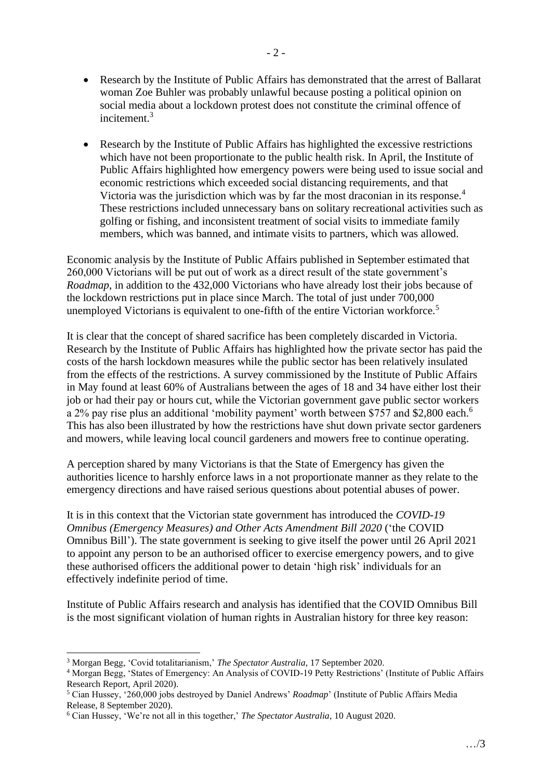- Research by the Institute of Public Affairs has demonstrated that the arrest of Ballarat woman Zoe Buhler was probably unlawful because posting a political opinion on social media about a lockdown protest does not constitute the criminal offence of incitement.<sup>3</sup>
- Research by the Institute of Public Affairs has highlighted the excessive restrictions which have not been proportionate to the public health risk. In April, the Institute of Public Affairs highlighted how emergency powers were being used to issue social and economic restrictions which exceeded social distancing requirements, and that Victoria was the jurisdiction which was by far the most draconian in its response.<sup>4</sup> These restrictions included unnecessary bans on solitary recreational activities such as golfing or fishing, and inconsistent treatment of social visits to immediate family members, which was banned, and intimate visits to partners, which was allowed.

Economic analysis by the Institute of Public Affairs published in September estimated that 260,000 Victorians will be put out of work as a direct result of the state government's *Roadmap*, in addition to the 432,000 Victorians who have already lost their jobs because of the lockdown restrictions put in place since March. The total of just under 700,000 unemployed Victorians is equivalent to one-fifth of the entire Victorian workforce.<sup>5</sup>

It is clear that the concept of shared sacrifice has been completely discarded in Victoria. Research by the Institute of Public Affairs has highlighted how the private sector has paid the costs of the harsh lockdown measures while the public sector has been relatively insulated from the effects of the restrictions. A survey commissioned by the Institute of Public Affairs in May found at least 60% of Australians between the ages of 18 and 34 have either lost their job or had their pay or hours cut, while the Victorian government gave public sector workers a 2% pay rise plus an additional 'mobility payment' worth between \$757 and \$2,800 each.<sup>6</sup> This has also been illustrated by how the restrictions have shut down private sector gardeners and mowers, while leaving local council gardeners and mowers free to continue operating.

A perception shared by many Victorians is that the State of Emergency has given the authorities licence to harshly enforce laws in a not proportionate manner as they relate to the emergency directions and have raised serious questions about potential abuses of power.

It is in this context that the Victorian state government has introduced the *COVID-19 Omnibus (Emergency Measures) and Other Acts Amendment Bill 2020* ('the COVID Omnibus Bill'). The state government is seeking to give itself the power until 26 April 2021 to appoint any person to be an authorised officer to exercise emergency powers, and to give these authorised officers the additional power to detain 'high risk' individuals for an effectively indefinite period of time.

Institute of Public Affairs research and analysis has identified that the COVID Omnibus Bill is the most significant violation of human rights in Australian history for three key reason:

<sup>3</sup> Morgan Begg, 'Covid totalitarianism,' *The Spectator Australia*, 17 September 2020.

<sup>4</sup> Morgan Begg, 'States of Emergency: An Analysis of COVID-19 Petty Restrictions' (Institute of Public Affairs Research Report, April 2020).

<sup>5</sup> Cian Hussey, '260,000 jobs destroyed by Daniel Andrews' *Roadmap*' (Institute of Public Affairs Media Release, 8 September 2020).

<sup>6</sup> Cian Hussey, 'We're not all in this together,' *The Spectator Australia*, 10 August 2020.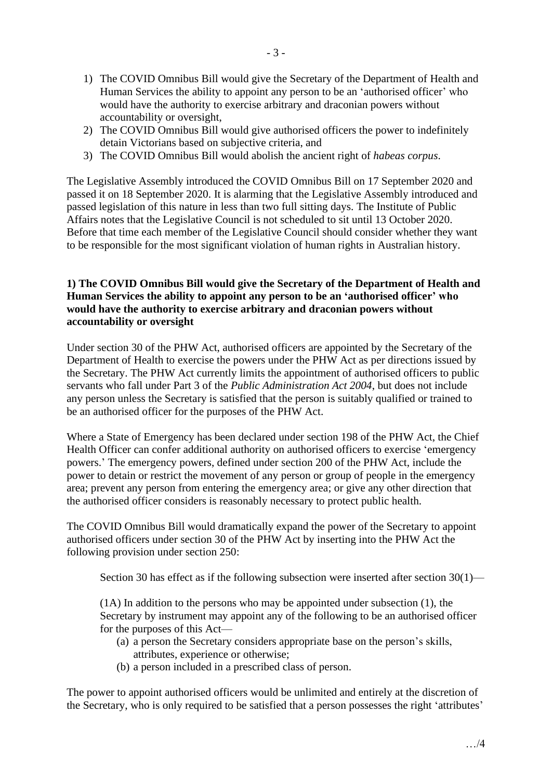- 1) The COVID Omnibus Bill would give the Secretary of the Department of Health and Human Services the ability to appoint any person to be an 'authorised officer' who would have the authority to exercise arbitrary and draconian powers without accountability or oversight,
- 2) The COVID Omnibus Bill would give authorised officers the power to indefinitely detain Victorians based on subjective criteria, and
- 3) The COVID Omnibus Bill would abolish the ancient right of *habeas corpus*.

The Legislative Assembly introduced the COVID Omnibus Bill on 17 September 2020 and passed it on 18 September 2020. It is alarming that the Legislative Assembly introduced and passed legislation of this nature in less than two full sitting days. The Institute of Public Affairs notes that the Legislative Council is not scheduled to sit until 13 October 2020. Before that time each member of the Legislative Council should consider whether they want to be responsible for the most significant violation of human rights in Australian history.

## **1) The COVID Omnibus Bill would give the Secretary of the Department of Health and Human Services the ability to appoint any person to be an 'authorised officer' who would have the authority to exercise arbitrary and draconian powers without accountability or oversight**

Under section 30 of the PHW Act, authorised officers are appointed by the Secretary of the Department of Health to exercise the powers under the PHW Act as per directions issued by the Secretary. The PHW Act currently limits the appointment of authorised officers to public servants who fall under Part 3 of the *Public Administration Act 2004*, but does not include any person unless the Secretary is satisfied that the person is suitably qualified or trained to be an authorised officer for the purposes of the PHW Act.

Where a State of Emergency has been declared under section 198 of the PHW Act, the Chief Health Officer can confer additional authority on authorised officers to exercise 'emergency powers.' The emergency powers, defined under section 200 of the PHW Act, include the power to detain or restrict the movement of any person or group of people in the emergency area; prevent any person from entering the emergency area; or give any other direction that the authorised officer considers is reasonably necessary to protect public health.

The COVID Omnibus Bill would dramatically expand the power of the Secretary to appoint authorised officers under section 30 of the PHW Act by inserting into the PHW Act the following provision under section 250:

Section 30 has effect as if the following subsection were inserted after section 30(1)—

(1A) In addition to the persons who may be appointed under subsection (1), the Secretary by instrument may appoint any of the following to be an authorised officer for the purposes of this Act—

- (a) a person the Secretary considers appropriate base on the person's skills, attributes, experience or otherwise;
- (b) a person included in a prescribed class of person.

The power to appoint authorised officers would be unlimited and entirely at the discretion of the Secretary, who is only required to be satisfied that a person possesses the right 'attributes'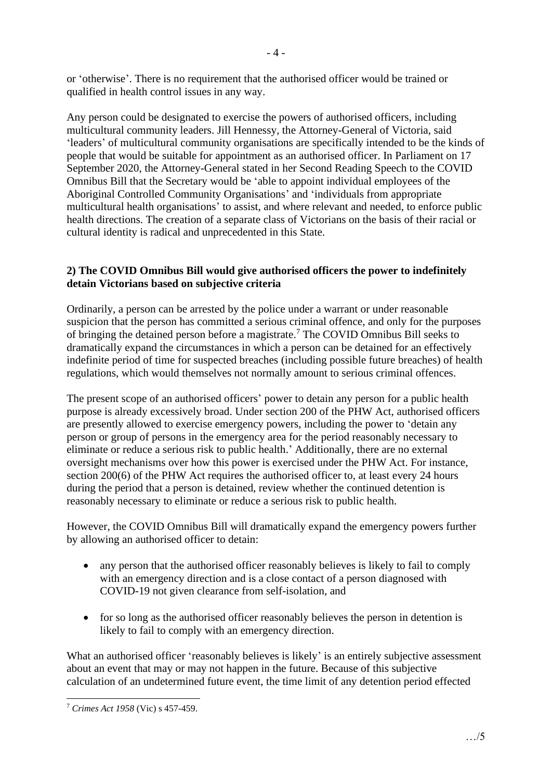or 'otherwise'. There is no requirement that the authorised officer would be trained or qualified in health control issues in any way.

Any person could be designated to exercise the powers of authorised officers, including multicultural community leaders. Jill Hennessy, the Attorney-General of Victoria, said 'leaders' of multicultural community organisations are specifically intended to be the kinds of people that would be suitable for appointment as an authorised officer. In Parliament on 17 September 2020, the Attorney-General stated in her Second Reading Speech to the COVID Omnibus Bill that the Secretary would be 'able to appoint individual employees of the Aboriginal Controlled Community Organisations' and 'individuals from appropriate multicultural health organisations' to assist, and where relevant and needed, to enforce public health directions. The creation of a separate class of Victorians on the basis of their racial or cultural identity is radical and unprecedented in this State.

## **2) The COVID Omnibus Bill would give authorised officers the power to indefinitely detain Victorians based on subjective criteria**

Ordinarily, a person can be arrested by the police under a warrant or under reasonable suspicion that the person has committed a serious criminal offence, and only for the purposes of bringing the detained person before a magistrate. <sup>7</sup> The COVID Omnibus Bill seeks to dramatically expand the circumstances in which a person can be detained for an effectively indefinite period of time for suspected breaches (including possible future breaches) of health regulations, which would themselves not normally amount to serious criminal offences.

The present scope of an authorised officers' power to detain any person for a public health purpose is already excessively broad. Under section 200 of the PHW Act, authorised officers are presently allowed to exercise emergency powers, including the power to 'detain any person or group of persons in the emergency area for the period reasonably necessary to eliminate or reduce a serious risk to public health.' Additionally, there are no external oversight mechanisms over how this power is exercised under the PHW Act. For instance, section 200(6) of the PHW Act requires the authorised officer to, at least every 24 hours during the period that a person is detained, review whether the continued detention is reasonably necessary to eliminate or reduce a serious risk to public health.

However, the COVID Omnibus Bill will dramatically expand the emergency powers further by allowing an authorised officer to detain:

- any person that the authorised officer reasonably believes is likely to fail to comply with an emergency direction and is a close contact of a person diagnosed with COVID-19 not given clearance from self-isolation, and
- for so long as the authorised officer reasonably believes the person in detention is likely to fail to comply with an emergency direction.

What an authorised officer 'reasonably believes is likely' is an entirely subjective assessment about an event that may or may not happen in the future. Because of this subjective calculation of an undetermined future event, the time limit of any detention period effected

<sup>7</sup> *Crimes Act 1958* (Vic) s 457-459.